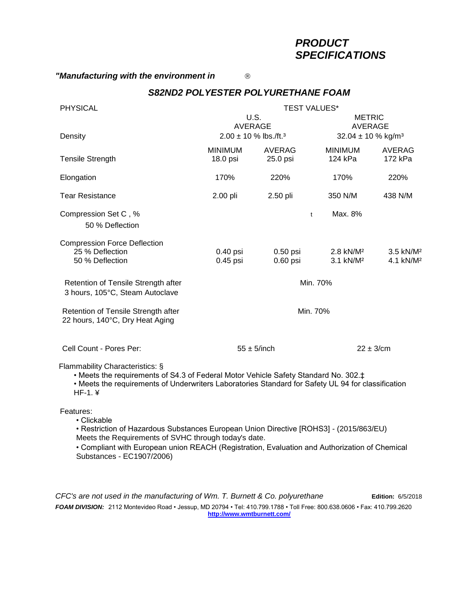# *PRODUCT SPECIFICATIONS*

### *"Manufacturing with the environment in*

### *S82ND2 POLYESTER POLYURETHANE FOAM*

| <b>PHYSICAL</b>                                                                                                                                                                                                                           | <b>TEST VALUES*</b>                                                    |                          |                                                                       |                                                |
|-------------------------------------------------------------------------------------------------------------------------------------------------------------------------------------------------------------------------------------------|------------------------------------------------------------------------|--------------------------|-----------------------------------------------------------------------|------------------------------------------------|
|                                                                                                                                                                                                                                           | <b>U.S.</b><br><b>AVERAGE</b><br>$2.00 \pm 10$ % lbs./ft. <sup>3</sup> |                          | <b>METRIC</b><br><b>AVERAGE</b><br>32.04 $\pm$ 10 % kg/m <sup>3</sup> |                                                |
| Density                                                                                                                                                                                                                                   |                                                                        |                          |                                                                       |                                                |
| <b>Tensile Strength</b>                                                                                                                                                                                                                   | <b>MINIMUM</b><br>18.0 psi                                             | AVERAG<br>25.0 psi       | <b>MINIMUM</b><br>124 kPa                                             | AVERAG<br>172 kPa                              |
| Elongation                                                                                                                                                                                                                                | 170%                                                                   | 220%                     | 170%                                                                  | 220%                                           |
| <b>Tear Resistance</b>                                                                                                                                                                                                                    | 2.00 pli                                                               | 2.50 pli                 | 350 N/M                                                               | 438 N/M                                        |
| Compression Set C, %<br>50 % Deflection                                                                                                                                                                                                   | Max. 8%<br>$\mathbf{t}$                                                |                          |                                                                       |                                                |
| <b>Compression Force Deflection</b><br>25 % Deflection<br>50 % Deflection                                                                                                                                                                 | 0.40 psi<br>$0.45$ psi                                                 | $0.50$ psi<br>$0.60$ psi | 2.8 kN/M <sup>2</sup><br>3.1 kN/M <sup>2</sup>                        | 3.5 kN/M <sup>2</sup><br>4.1 kN/M <sup>2</sup> |
| Retention of Tensile Strength after<br>3 hours, 105°C, Steam Autoclave                                                                                                                                                                    | Min. 70%                                                               |                          |                                                                       |                                                |
| Retention of Tensile Strength after<br>22 hours, 140°C, Dry Heat Aging                                                                                                                                                                    | Min. 70%                                                               |                          |                                                                       |                                                |
| Cell Count - Pores Per:                                                                                                                                                                                                                   | $55 \pm 5$ /inch                                                       |                          | $22 \pm 3$ /cm                                                        |                                                |
| Flammability Characteristics: §<br>• Meets the requirements of S4.3 of Federal Motor Vehicle Safety Standard No. 302.‡<br>• Meets the requirements of Underwriters Laboratories Standard for Safety UL 94 for classification<br>$HF-1.$ ¥ |                                                                        |                          |                                                                       |                                                |
| Features:<br>• Clickable<br>• Restriction of Hazardous Substances European Union Directive IROHS31 - (2015/863/EU)                                                                                                                        |                                                                        |                          |                                                                       |                                                |

• Restriction of Hazardous Substances European Union Directive [ROHS3] - (2015/863/EU) Meets the Requirements of SVHC through today's date.

• Compliant with European union REACH (Registration, Evaluation and Authorization of Chemical Substances - EC1907/2006)

*CFC's are not used in the manufacturing of Wm. T. Burnett & Co. polyurethane* **Edition:** 6/5/2018 *FOAM DIVISION:* 2112 Montevideo Road • Jessup, MD 20794 • Tel: 410.799.1788 • Toll Free: 800.638.0606 • Fax: 410.799.2620 **[http://www.wmtburnett.com/](http://www.williamtburnett.com/)**